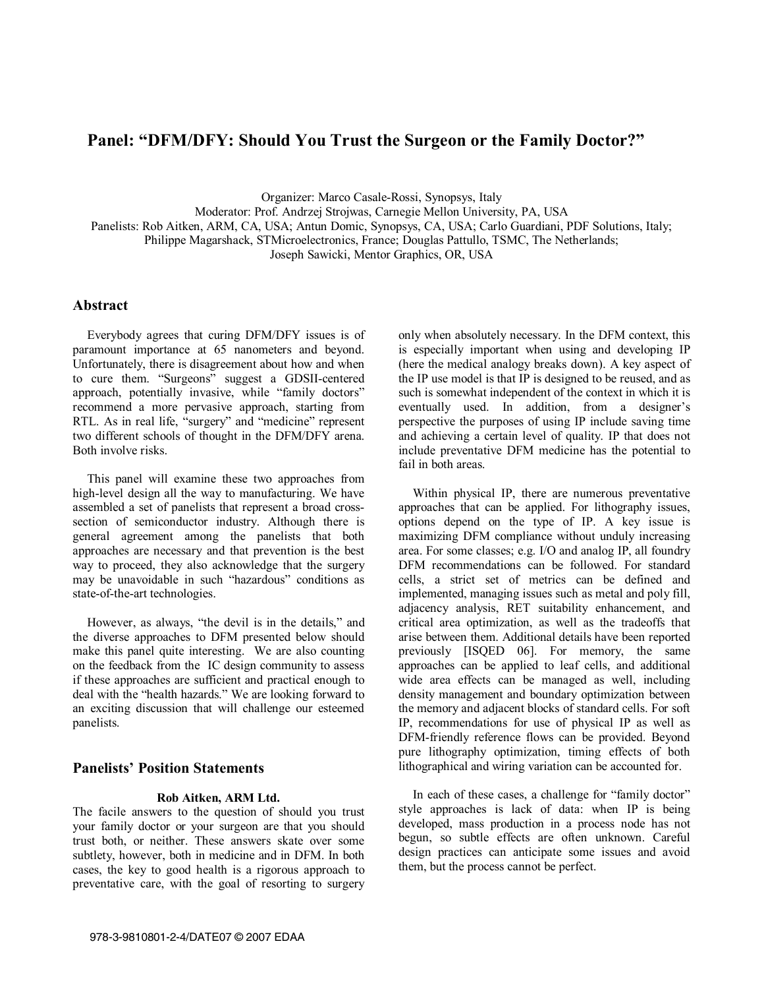# **Panel: "DFM/DFY: Should You Trust the Surgeon or the Family Doctor?"**

Organizer: Marco Casale-Rossi, Synopsys, Italy

Moderator: Prof. Andrzej Strojwas, Carnegie Mellon University, PA, USA

Panelists: Rob Aitken, ARM, CA, USA; Antun Domic, Synopsys, CA, USA; Carlo Guardiani, PDF Solutions, Italy;

Philippe Magarshack, STMicroelectronics, France; Douglas Pattullo, TSMC, The Netherlands;

Joseph Sawicki, Mentor Graphics, OR, USA

## **Abstract**

Everybody agrees that curing DFM/DFY issues is of paramount importance at 65 nanometers and beyond. Unfortunately, there is disagreement about how and when to cure them. "Surgeons" suggest a GDSII-centered approach, potentially invasive, while "family doctors" recommend a more pervasive approach, starting from RTL. As in real life, "surgery" and "medicine" represent two different schools of thought in the DFM/DFY arena. Both involve risks.

This panel will examine these two approaches from high-level design all the way to manufacturing. We have assembled a set of panelists that represent a broad crosssection of semiconductor industry. Although there is general agreement among the panelists that both approaches are necessary and that prevention is the best way to proceed, they also acknowledge that the surgery may be unavoidable in such "hazardous" conditions as state-of-the-art technologies.

However, as always, "the devil is in the details," and the diverse approaches to DFM presented below should make this panel quite interesting. We are also counting on the feedback from the IC design community to assess if these approaches are sufficient and practical enough to deal with the "health hazards." We are looking forward to an exciting discussion that will challenge our esteemed panelists.

# **Panelists' Position Statements**

#### **Rob Aitken, ARM Ltd.**

The facile answers to the question of should you trust your family doctor or your surgeon are that you should trust both, or neither. These answers skate over some subtlety, however, both in medicine and in DFM. In both cases, the key to good health is a rigorous approach to preventative care, with the goal of resorting to surgery only when absolutely necessary. In the DFM context, this is especially important when using and developing IP (here the medical analogy breaks down). A key aspect of the IP use model is that IP is designed to be reused, and as such is somewhat independent of the context in which it is eventually used. In addition, from a designer's perspective the purposes of using IP include saving time and achieving a certain level of quality. IP that does not include preventative DFM medicine has the potential to fail in both areas.

Within physical IP, there are numerous preventative approaches that can be applied. For lithography issues, options depend on the type of IP. A key issue is maximizing DFM compliance without unduly increasing area. For some classes; e.g. I/O and analog IP, all foundry DFM recommendations can be followed. For standard cells, a strict set of metrics can be defined and implemented, managing issues such as metal and poly fill, adjacency analysis, RET suitability enhancement, and critical area optimization, as well as the tradeoffs that arise between them. Additional details have been reported previously [ISQED 06]. For memory, the same approaches can be applied to leaf cells, and additional wide area effects can be managed as well, including density management and boundary optimization between the memory and adjacent blocks of standard cells. For soft IP, recommendations for use of physical IP as well as DFM-friendly reference flows can be provided. Beyond pure lithography optimization, timing effects of both lithographical and wiring variation can be accounted for.

In each of these cases, a challenge for "family doctor" style approaches is lack of data: when IP is being developed, mass production in a process node has not begun, so subtle effects are often unknown. Careful design practices can anticipate some issues and avoid them, but the process cannot be perfect.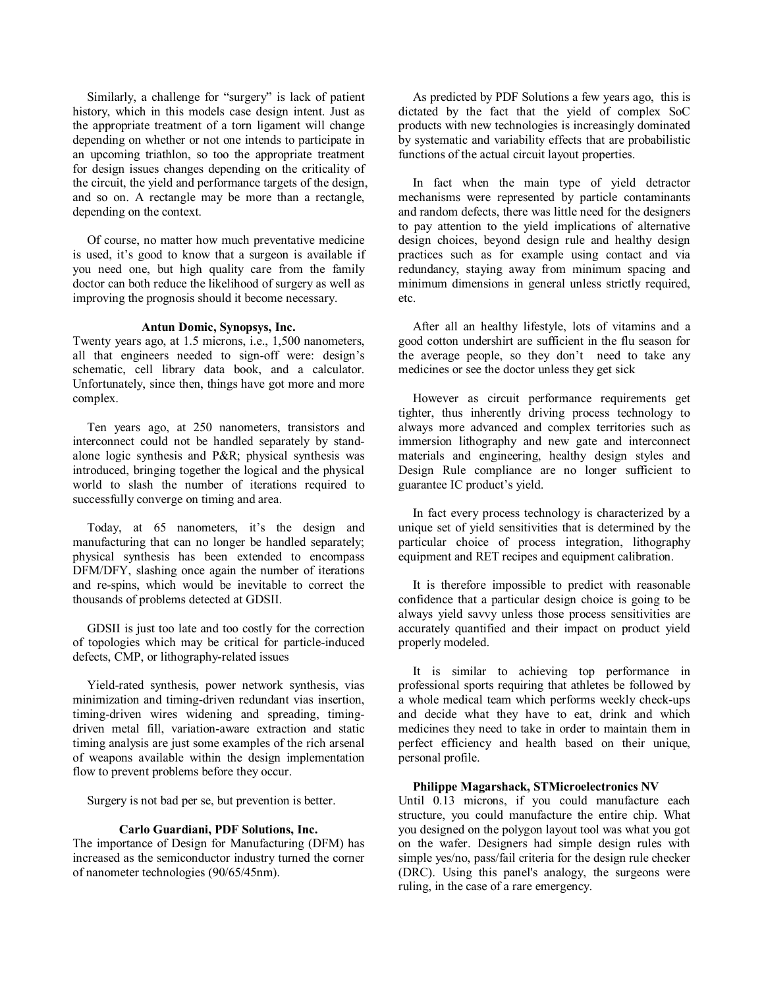Similarly, a challenge for "surgery" is lack of patient history, which in this models case design intent. Just as the appropriate treatment of a torn ligament will change depending on whether or not one intends to participate in an upcoming triathlon, so too the appropriate treatment for design issues changes depending on the criticality of the circuit, the yield and performance targets of the design, and so on. A rectangle may be more than a rectangle, depending on the context.

Of course, no matter how much preventative medicine is used, it's good to know that a surgeon is available if you need one, but high quality care from the family doctor can both reduce the likelihood of surgery as well as improving the prognosis should it become necessary.

#### **Antun Domic, Synopsys, Inc.**

Twenty years ago, at 1.5 microns, i.e., 1,500 nanometers, all that engineers needed to sign-off were: design's schematic, cell library data book, and a calculator. Unfortunately, since then, things have got more and more complex.

Ten years ago, at 250 nanometers, transistors and interconnect could not be handled separately by standalone logic synthesis and P&R; physical synthesis was introduced, bringing together the logical and the physical world to slash the number of iterations required to successfully converge on timing and area.

Today, at 65 nanometers, it's the design and manufacturing that can no longer be handled separately; physical synthesis has been extended to encompass DFM/DFY, slashing once again the number of iterations and re-spins, which would be inevitable to correct the thousands of problems detected at GDSII.

GDSII is just too late and too costly for the correction of topologies which may be critical for particle-induced defects, CMP, or lithography-related issues

Yield-rated synthesis, power network synthesis, vias minimization and timing-driven redundant vias insertion, timing-driven wires widening and spreading, timingdriven metal fill, variation-aware extraction and static timing analysis are just some examples of the rich arsenal of weapons available within the design implementation flow to prevent problems before they occur.

Surgery is not bad per se, but prevention is better.

#### **Carlo Guardiani, PDF Solutions, Inc.**

The importance of Design for Manufacturing (DFM) has increased as the semiconductor industry turned the corner of nanometer technologies (90/65/45nm).

As predicted by PDF Solutions a few years ago, this is dictated by the fact that the yield of complex SoC products with new technologies is increasingly dominated by systematic and variability effects that are probabilistic functions of the actual circuit layout properties.

In fact when the main type of yield detractor mechanisms were represented by particle contaminants and random defects, there was little need for the designers to pay attention to the yield implications of alternative design choices, beyond design rule and healthy design practices such as for example using contact and via redundancy, staying away from minimum spacing and minimum dimensions in general unless strictly required, etc.

After all an healthy lifestyle, lots of vitamins and a good cotton undershirt are sufficient in the flu season for the average people, so they don't need to take any medicines or see the doctor unless they get sick

However as circuit performance requirements get tighter, thus inherently driving process technology to always more advanced and complex territories such as immersion lithography and new gate and interconnect materials and engineering, healthy design styles and Design Rule compliance are no longer sufficient to guarantee IC product's yield.

In fact every process technology is characterized by a unique set of yield sensitivities that is determined by the particular choice of process integration, lithography equipment and RET recipes and equipment calibration.

It is therefore impossible to predict with reasonable confidence that a particular design choice is going to be always yield savvy unless those process sensitivities are accurately quantified and their impact on product yield properly modeled.

It is similar to achieving top performance in professional sports requiring that athletes be followed by a whole medical team which performs weekly check-ups and decide what they have to eat, drink and which medicines they need to take in order to maintain them in perfect efficiency and health based on their unique, personal profile.

#### **Philippe Magarshack, STMicroelectronics NV**

Until 0.13 microns, if you could manufacture each structure, you could manufacture the entire chip. What you designed on the polygon layout tool was what you got on the wafer. Designers had simple design rules with simple yes/no, pass/fail criteria for the design rule checker (DRC). Using this panel's analogy, the surgeons were ruling, in the case of a rare emergency.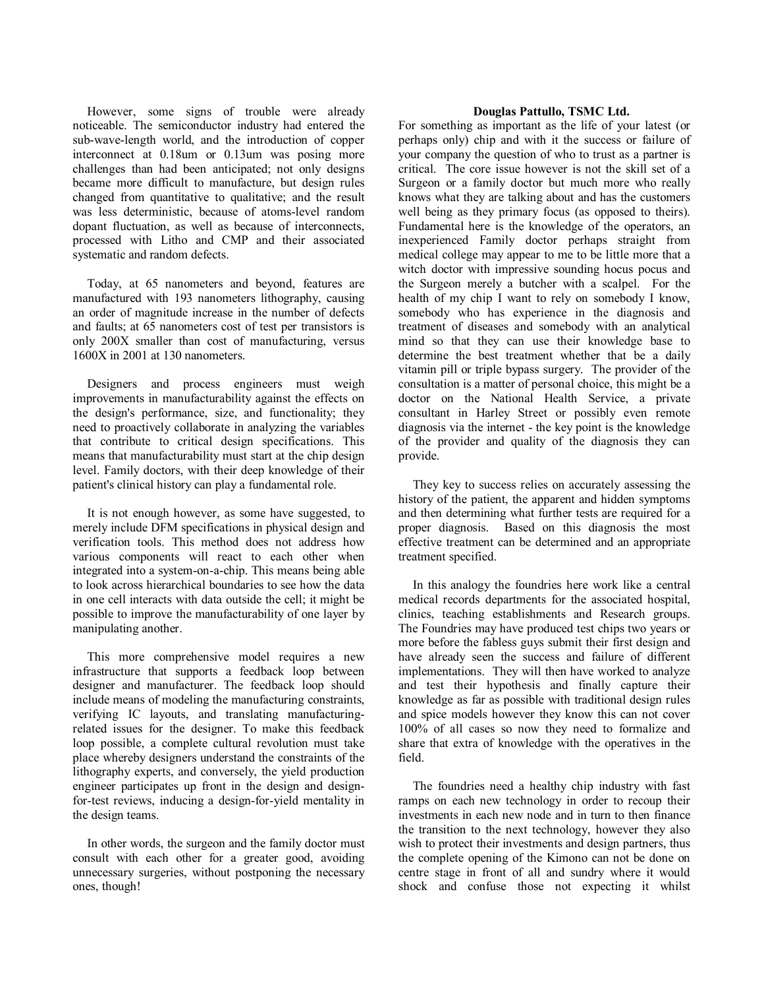However, some signs of trouble were already noticeable. The semiconductor industry had entered the sub-wave-length world, and the introduction of copper interconnect at 0.18um or 0.13um was posing more challenges than had been anticipated; not only designs became more difficult to manufacture, but design rules changed from quantitative to qualitative; and the result was less deterministic, because of atoms-level random dopant fluctuation, as well as because of interconnects, processed with Litho and CMP and their associated systematic and random defects.

Today, at 65 nanometers and beyond, features are manufactured with 193 nanometers lithography, causing an order of magnitude increase in the number of defects and faults; at 65 nanometers cost of test per transistors is only 200X smaller than cost of manufacturing, versus 1600X in 2001 at 130 nanometers.

Designers and process engineers must weigh improvements in manufacturability against the effects on the design's performance, size, and functionality; they need to proactively collaborate in analyzing the variables that contribute to critical design specifications. This means that manufacturability must start at the chip design level. Family doctors, with their deep knowledge of their patient's clinical history can play a fundamental role.

It is not enough however, as some have suggested, to merely include DFM specifications in physical design and verification tools. This method does not address how various components will react to each other when integrated into a system-on-a-chip. This means being able to look across hierarchical boundaries to see how the data in one cell interacts with data outside the cell; it might be possible to improve the manufacturability of one layer by manipulating another.

This more comprehensive model requires a new infrastructure that supports a feedback loop between designer and manufacturer. The feedback loop should include means of modeling the manufacturing constraints, verifying IC layouts, and translating manufacturingrelated issues for the designer. To make this feedback loop possible, a complete cultural revolution must take place whereby designers understand the constraints of the lithography experts, and conversely, the yield production engineer participates up front in the design and designfor-test reviews, inducing a design-for-yield mentality in the design teams.

In other words, the surgeon and the family doctor must consult with each other for a greater good, avoiding unnecessary surgeries, without postponing the necessary ones, though!

#### **Douglas Pattullo, TSMC Ltd.**

For something as important as the life of your latest (or perhaps only) chip and with it the success or failure of your company the question of who to trust as a partner is critical. The core issue however is not the skill set of a Surgeon or a family doctor but much more who really knows what they are talking about and has the customers well being as they primary focus (as opposed to theirs). Fundamental here is the knowledge of the operators, an inexperienced Family doctor perhaps straight from medical college may appear to me to be little more that a witch doctor with impressive sounding hocus pocus and the Surgeon merely a butcher with a scalpel. For the health of my chip I want to rely on somebody I know, somebody who has experience in the diagnosis and treatment of diseases and somebody with an analytical mind so that they can use their knowledge base to determine the best treatment whether that be a daily vitamin pill or triple bypass surgery. The provider of the consultation is a matter of personal choice, this might be a doctor on the National Health Service, a private consultant in Harley Street or possibly even remote diagnosis via the internet - the key point is the knowledge of the provider and quality of the diagnosis they can provide.

They key to success relies on accurately assessing the history of the patient, the apparent and hidden symptoms and then determining what further tests are required for a proper diagnosis. Based on this diagnosis the most effective treatment can be determined and an appropriate treatment specified.

In this analogy the foundries here work like a central medical records departments for the associated hospital, clinics, teaching establishments and Research groups. The Foundries may have produced test chips two years or more before the fabless guys submit their first design and have already seen the success and failure of different implementations. They will then have worked to analyze and test their hypothesis and finally capture their knowledge as far as possible with traditional design rules and spice models however they know this can not cover 100% of all cases so now they need to formalize and share that extra of knowledge with the operatives in the field.

The foundries need a healthy chip industry with fast ramps on each new technology in order to recoup their investments in each new node and in turn to then finance the transition to the next technology, however they also wish to protect their investments and design partners, thus the complete opening of the Kimono can not be done on centre stage in front of all and sundry where it would shock and confuse those not expecting it whilst